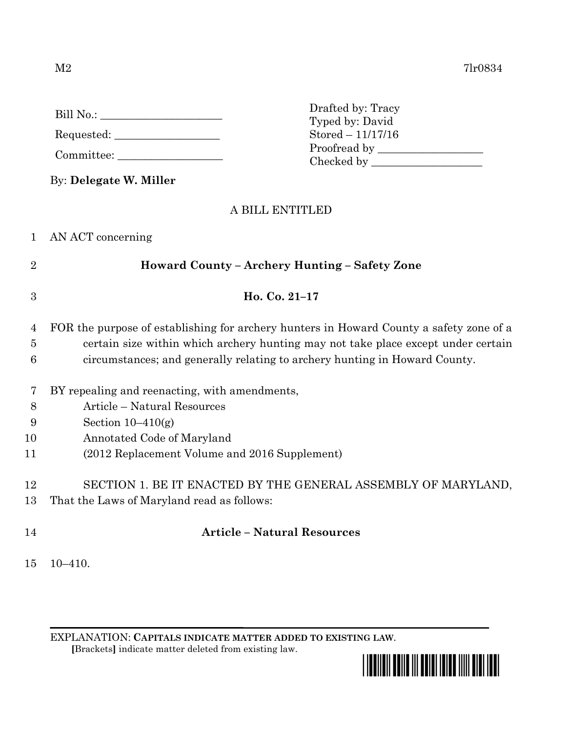$M2$  7lr0834

|                | $Stored - 11/17/16$                                                                     |
|----------------|-----------------------------------------------------------------------------------------|
|                |                                                                                         |
|                |                                                                                         |
|                | By: Delegate W. Miller                                                                  |
|                | A BILL ENTITLED                                                                         |
| 1              | AN ACT concerning                                                                       |
| $\overline{2}$ | Howard County - Archery Hunting - Safety Zone                                           |
| 3              | Ho. Co. 21-17                                                                           |
| 4              | FOR the purpose of establishing for archery hunters in Howard County a safety zone of a |
| $\overline{5}$ | certain size within which archery hunting may not take place except under certain       |
| 6              | circumstances; and generally relating to archery hunting in Howard County.              |
| 7              | BY repealing and reenacting, with amendments,                                           |
| 8              | Article - Natural Resources                                                             |
| 9              | Section $10-410(g)$                                                                     |
| 10             | Annotated Code of Maryland                                                              |
| 11             | (2012 Replacement Volume and 2016 Supplement)                                           |
| 12             | SECTION 1. BE IT ENACTED BY THE GENERAL ASSEMBLY OF MARYLAND,                           |

Drafted by: Tracy Typed by: David

- 13 That the Laws of Maryland read as follows:
- 14 **Article – Natural Resources**

15 10–410.

EXPLANATION: **CAPITALS INDICATE MATTER ADDED TO EXISTING LAW**.  **[**Brackets**]** indicate matter deleted from existing law.



Bill No.: \_\_\_\_\_\_\_\_\_\_\_\_\_\_\_\_\_\_\_\_\_\_